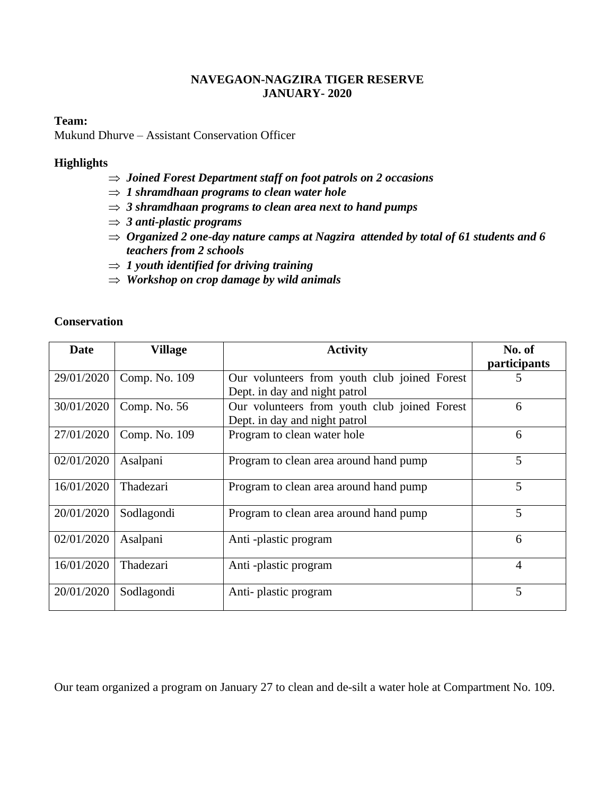## **NAVEGAON-NAGZIRA TIGER RESERVE JANUARY- 2020**

#### **Team:**

Mukund Dhurve – Assistant Conservation Officer

## **Highlights**

- *Joined Forest Department staff on foot patrols on 2 occasions*
- $\Rightarrow$  1 shramdhaan programs to clean water hole
- *3 shramdhaan programs to clean area next to hand pumps*
- *3 anti-plastic programs*
- *Organized 2 one-day nature camps at Nagzira attended by total of 61 students and 6 teachers from 2 schools*
- $\Rightarrow$  1 youth identified for driving training
- *Workshop on crop damage by wild animals*

#### **Conservation**

| Date       | <b>Village</b> | <b>Activity</b>                                                               | No. of<br>participants |
|------------|----------------|-------------------------------------------------------------------------------|------------------------|
| 29/01/2020 | Comp. No. 109  | Our volunteers from youth club joined Forest<br>Dept. in day and night patrol | 5                      |
| 30/01/2020 | Comp. No. 56   | Our volunteers from youth club joined Forest<br>Dept. in day and night patrol | 6                      |
| 27/01/2020 | Comp. No. 109  | Program to clean water hole                                                   | 6                      |
| 02/01/2020 | Asalpani       | Program to clean area around hand pump                                        | 5                      |
| 16/01/2020 | Thadezari      | Program to clean area around hand pump                                        | 5                      |
| 20/01/2020 | Sodlagondi     | Program to clean area around hand pump                                        | 5                      |
| 02/01/2020 | Asalpani       | Anti-plastic program                                                          | 6                      |
| 16/01/2020 | Thadezari      | Anti-plastic program                                                          | $\overline{4}$         |
| 20/01/2020 | Sodlagondi     | Anti-plastic program                                                          | 5                      |

Our team organized a program on January 27 to clean and de-silt a water hole at Compartment No. 109.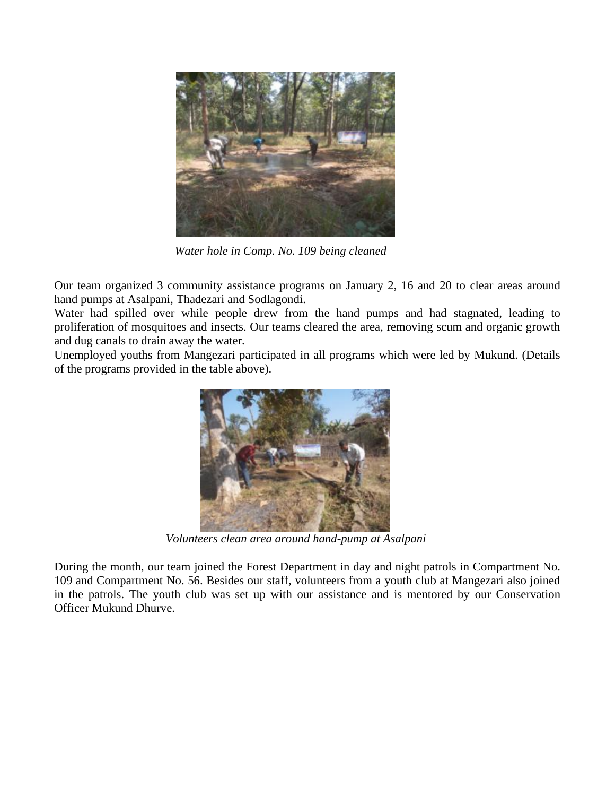

*Water hole in Comp. No. 109 being cleaned*

Our team organized 3 community assistance programs on January 2, 16 and 20 to clear areas around hand pumps at Asalpani, Thadezari and Sodlagondi.

Water had spilled over while people drew from the hand pumps and had stagnated, leading to proliferation of mosquitoes and insects. Our teams cleared the area, removing scum and organic growth and dug canals to drain away the water.

Unemployed youths from Mangezari participated in all programs which were led by Mukund. (Details of the programs provided in the table above).



*Volunteers clean area around hand-pump at Asalpani*

During the month, our team joined the Forest Department in day and night patrols in Compartment No. 109 and Compartment No. 56. Besides our staff, volunteers from a youth club at Mangezari also joined in the patrols. The youth club was set up with our assistance and is mentored by our Conservation Officer Mukund Dhurve.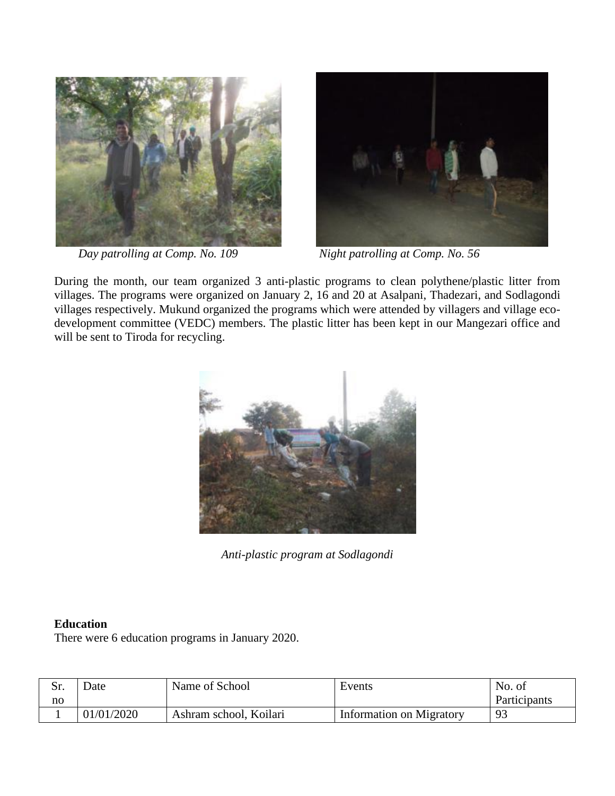



*Day patrolling at Comp. No. 109* Night patrolling at Comp. No. 56

During the month, our team organized 3 anti-plastic programs to clean polythene/plastic litter from villages. The programs were organized on January 2, 16 and 20 at Asalpani, Thadezari, and Sodlagondi villages respectively. Mukund organized the programs which were attended by villagers and village ecodevelopment committee (VEDC) members. The plastic litter has been kept in our Mangezari office and will be sent to Tiroda for recycling.



*Anti-plastic program at Sodlagondi*

## **Education**

There were 6 education programs in January 2020.

| $S_{\bf r}$<br><u>ນ.</u> | Date       | Name of School         | Events                   | No. of       |
|--------------------------|------------|------------------------|--------------------------|--------------|
| no                       |            |                        |                          | Participants |
|                          | 01/01/2020 | Ashram school, Koilari | Information on Migratory | 93           |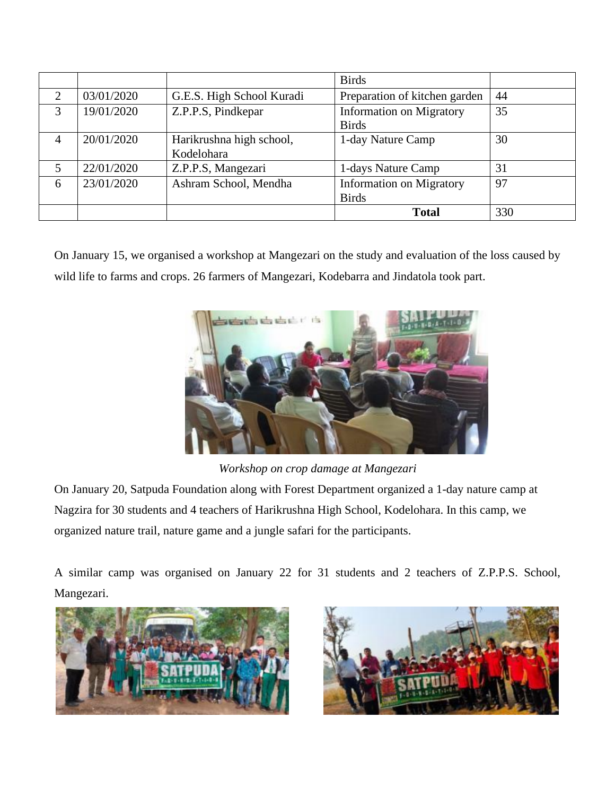|   |            |                                        | <b>Birds</b>                                    |     |
|---|------------|----------------------------------------|-------------------------------------------------|-----|
| 2 | 03/01/2020 | G.E.S. High School Kuradi              | Preparation of kitchen garden                   | 44  |
| 3 | 19/01/2020 | Z.P.P.S, Pindkepar                     | <b>Information on Migratory</b><br><b>Birds</b> | 35  |
| 4 | 20/01/2020 | Harikrushna high school,<br>Kodelohara | 1-day Nature Camp                               | 30  |
| 5 | 22/01/2020 | Z.P.P.S, Mangezari                     | 1-days Nature Camp                              | 31  |
| 6 | 23/01/2020 | Ashram School, Mendha                  | <b>Information on Migratory</b><br><b>Birds</b> | 97  |
|   |            |                                        | <b>Total</b>                                    | 330 |

On January 15, we organised a workshop at Mangezari on the study and evaluation of the loss caused by wild life to farms and crops. 26 farmers of Mangezari, Kodebarra and Jindatola took part.



 *Workshop on crop damage at Mangezari* On January 20, Satpuda Foundation along with Forest Department organized a 1-day nature camp at Nagzira for 30 students and 4 teachers of Harikrushna High School, Kodelohara. In this camp, we organized nature trail, nature game and a jungle safari for the participants.

A similar camp was organised on January 22 for 31 students and 2 teachers of Z.P.P.S. School, Mangezari.